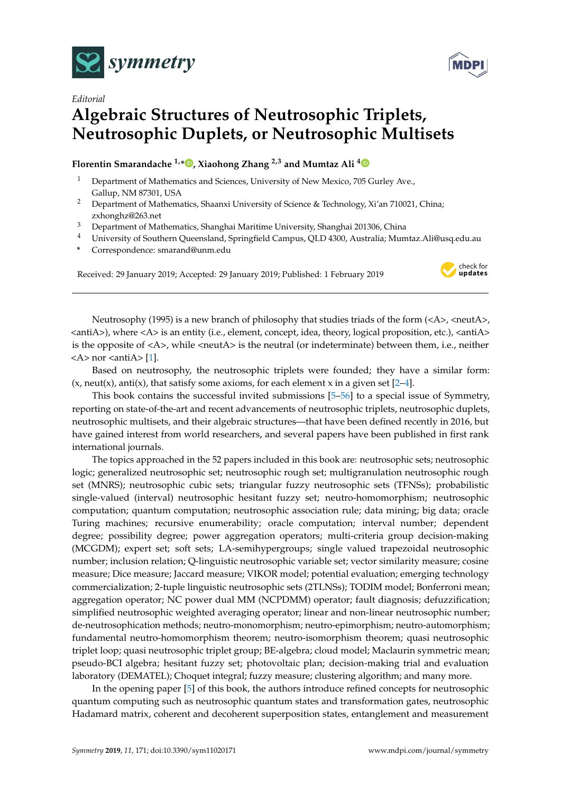



## *Editorial* **Algebraic Structures of Neutrosophic Triplets, Neutrosophic Duplets, or Neutrosophic Multisets**

## **Florentin Smarandache 1,[\\*](https://orcid.org/0000-0002-5560-5926) , Xiaohong Zhang 2,3 and Mumtaz Ali [4](https://orcid.org/0000-0002-6975-5159)**

- <sup>1</sup> Department of Mathematics and Sciences, University of New Mexico, 705 Gurley Ave., Gallup, NM 87301, USA
- <sup>2</sup> Department of Mathematics, Shaanxi University of Science & Technology, Xi'an 710021, China; zxhonghz@263.net
- <sup>3</sup> Department of Mathematics, Shanghai Maritime University, Shanghai 201306, China
- <sup>4</sup> University of Southern Queensland, Springfield Campus, QLD 4300, Australia; Mumtaz.Ali@usq.edu.au
- **\*** Correspondence: smarand@unm.edu

Received: 29 January 2019; Accepted: 29 January 2019; Published: 1 February 2019



Neutrosophy (1995) is a new branch of philosophy that studies triads of the form  $\langle A \rangle$ , <neutA $\rangle$ , <antiA>), where <A> is an entity (i.e., element, concept, idea, theory, logical proposition, etc.), <antiA> is the opposite of  $\langle A \rangle$ , while  $\langle \text{neut} A \rangle$  is the neutral (or indeterminate) between them, i.e., neither  $<$ A $>$  nor  $<$ anti $A$  $>$  [\[1\]](#page-12-0).

Based on neutrosophy, the neutrosophic triplets were founded; they have a similar form:  $(x, \text{neut}(x), \text{anti}(x))$ , that satisfy some axioms, for each element x in a given set [\[2](#page-12-1)[–4\]](#page-12-2).

This book contains the successful invited submissions [\[5–](#page-12-3)[56\]](#page-15-0) to a special issue of Symmetry, reporting on state-of-the-art and recent advancements of neutrosophic triplets, neutrosophic duplets, neutrosophic multisets, and their algebraic structures—that have been defined recently in 2016, but have gained interest from world researchers, and several papers have been published in first rank international journals.

The topics approached in the 52 papers included in this book are: neutrosophic sets; neutrosophic logic; generalized neutrosophic set; neutrosophic rough set; multigranulation neutrosophic rough set (MNRS); neutrosophic cubic sets; triangular fuzzy neutrosophic sets (TFNSs); probabilistic single-valued (interval) neutrosophic hesitant fuzzy set; neutro-homomorphism; neutrosophic computation; quantum computation; neutrosophic association rule; data mining; big data; oracle Turing machines; recursive enumerability; oracle computation; interval number; dependent degree; possibility degree; power aggregation operators; multi-criteria group decision-making (MCGDM); expert set; soft sets; LA-semihypergroups; single valued trapezoidal neutrosophic number; inclusion relation; Q-linguistic neutrosophic variable set; vector similarity measure; cosine measure; Dice measure; Jaccard measure; VIKOR model; potential evaluation; emerging technology commercialization; 2-tuple linguistic neutrosophic sets (2TLNSs); TODIM model; Bonferroni mean; aggregation operator; NC power dual MM (NCPDMM) operator; fault diagnosis; defuzzification; simplified neutrosophic weighted averaging operator; linear and non-linear neutrosophic number; de-neutrosophication methods; neutro-monomorphism; neutro-epimorphism; neutro-automorphism; fundamental neutro-homomorphism theorem; neutro-isomorphism theorem; quasi neutrosophic triplet loop; quasi neutrosophic triplet group; BE-algebra; cloud model; Maclaurin symmetric mean; pseudo-BCI algebra; hesitant fuzzy set; photovoltaic plan; decision-making trial and evaluation laboratory (DEMATEL); Choquet integral; fuzzy measure; clustering algorithm; and many more.

In the opening paper [\[5\]](#page-12-3) of this book, the authors introduce refined concepts for neutrosophic quantum computing such as neutrosophic quantum states and transformation gates, neutrosophic Hadamard matrix, coherent and decoherent superposition states, entanglement and measurement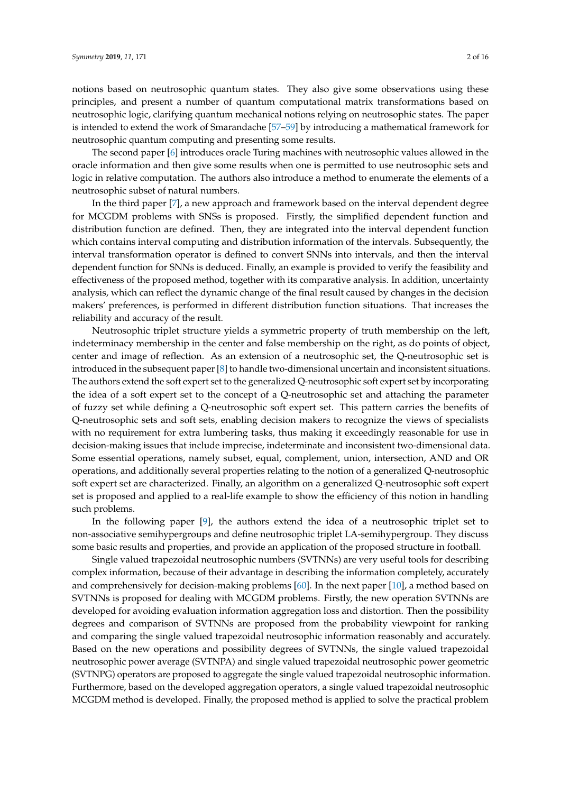notions based on neutrosophic quantum states. They also give some observations using these principles, and present a number of quantum computational matrix transformations based on neutrosophic logic, clarifying quantum mechanical notions relying on neutrosophic states. The paper is intended to extend the work of Smarandache [\[57](#page-15-1)[–59\]](#page-15-2) by introducing a mathematical framework for neutrosophic quantum computing and presenting some results.

The second paper [\[6\]](#page-13-0) introduces oracle Turing machines with neutrosophic values allowed in the oracle information and then give some results when one is permitted to use neutrosophic sets and logic in relative computation. The authors also introduce a method to enumerate the elements of a neutrosophic subset of natural numbers.

In the third paper [\[7\]](#page-13-1), a new approach and framework based on the interval dependent degree for MCGDM problems with SNSs is proposed. Firstly, the simplified dependent function and distribution function are defined. Then, they are integrated into the interval dependent function which contains interval computing and distribution information of the intervals. Subsequently, the interval transformation operator is defined to convert SNNs into intervals, and then the interval dependent function for SNNs is deduced. Finally, an example is provided to verify the feasibility and effectiveness of the proposed method, together with its comparative analysis. In addition, uncertainty analysis, which can reflect the dynamic change of the final result caused by changes in the decision makers' preferences, is performed in different distribution function situations. That increases the reliability and accuracy of the result.

Neutrosophic triplet structure yields a symmetric property of truth membership on the left, indeterminacy membership in the center and false membership on the right, as do points of object, center and image of reflection. As an extension of a neutrosophic set, the Q-neutrosophic set is introduced in the subsequent paper [\[8\]](#page-13-2) to handle two-dimensional uncertain and inconsistent situations. The authors extend the soft expert set to the generalized Q-neutrosophic soft expert set by incorporating the idea of a soft expert set to the concept of a Q-neutrosophic set and attaching the parameter of fuzzy set while defining a Q-neutrosophic soft expert set. This pattern carries the benefits of Q-neutrosophic sets and soft sets, enabling decision makers to recognize the views of specialists with no requirement for extra lumbering tasks, thus making it exceedingly reasonable for use in decision-making issues that include imprecise, indeterminate and inconsistent two-dimensional data. Some essential operations, namely subset, equal, complement, union, intersection, AND and OR operations, and additionally several properties relating to the notion of a generalized Q-neutrosophic soft expert set are characterized. Finally, an algorithm on a generalized Q-neutrosophic soft expert set is proposed and applied to a real-life example to show the efficiency of this notion in handling such problems.

In the following paper [\[9\]](#page-13-3), the authors extend the idea of a neutrosophic triplet set to non-associative semihypergroups and define neutrosophic triplet LA-semihypergroup. They discuss some basic results and properties, and provide an application of the proposed structure in football.

Single valued trapezoidal neutrosophic numbers (SVTNNs) are very useful tools for describing complex information, because of their advantage in describing the information completely, accurately and comprehensively for decision-making problems [\[60\]](#page-15-3). In the next paper [\[10\]](#page-13-4), a method based on SVTNNs is proposed for dealing with MCGDM problems. Firstly, the new operation SVTNNs are developed for avoiding evaluation information aggregation loss and distortion. Then the possibility degrees and comparison of SVTNNs are proposed from the probability viewpoint for ranking and comparing the single valued trapezoidal neutrosophic information reasonably and accurately. Based on the new operations and possibility degrees of SVTNNs, the single valued trapezoidal neutrosophic power average (SVTNPA) and single valued trapezoidal neutrosophic power geometric (SVTNPG) operators are proposed to aggregate the single valued trapezoidal neutrosophic information. Furthermore, based on the developed aggregation operators, a single valued trapezoidal neutrosophic MCGDM method is developed. Finally, the proposed method is applied to solve the practical problem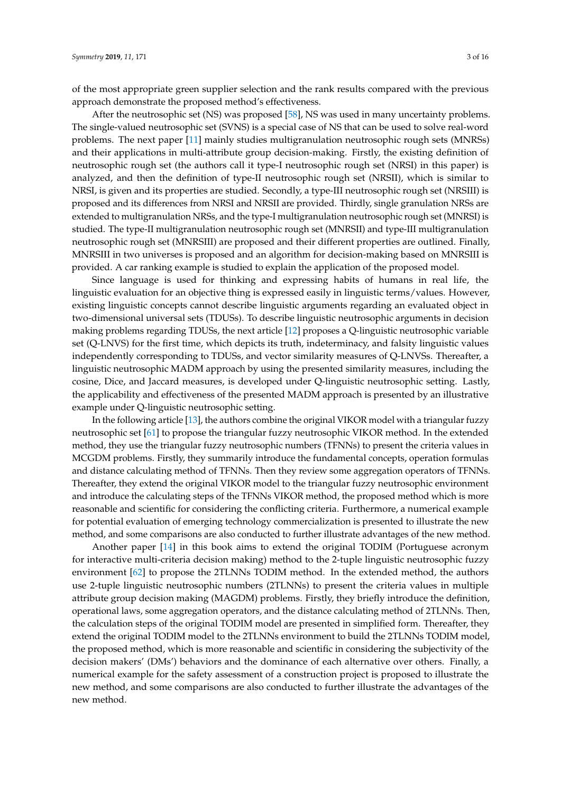of the most appropriate green supplier selection and the rank results compared with the previous approach demonstrate the proposed method's effectiveness.

After the neutrosophic set (NS) was proposed [\[58\]](#page-15-4), NS was used in many uncertainty problems. The single-valued neutrosophic set (SVNS) is a special case of NS that can be used to solve real-word problems. The next paper [\[11\]](#page-13-5) mainly studies multigranulation neutrosophic rough sets (MNRSs) and their applications in multi-attribute group decision-making. Firstly, the existing definition of neutrosophic rough set (the authors call it type-I neutrosophic rough set (NRSI) in this paper) is analyzed, and then the definition of type-II neutrosophic rough set (NRSII), which is similar to NRSI, is given and its properties are studied. Secondly, a type-III neutrosophic rough set (NRSIII) is proposed and its differences from NRSI and NRSII are provided. Thirdly, single granulation NRSs are extended to multigranulation NRSs, and the type-I multigranulation neutrosophic rough set (MNRSI) is studied. The type-II multigranulation neutrosophic rough set (MNRSII) and type-III multigranulation neutrosophic rough set (MNRSIII) are proposed and their different properties are outlined. Finally, MNRSIII in two universes is proposed and an algorithm for decision-making based on MNRSIII is provided. A car ranking example is studied to explain the application of the proposed model.

Since language is used for thinking and expressing habits of humans in real life, the linguistic evaluation for an objective thing is expressed easily in linguistic terms/values. However, existing linguistic concepts cannot describe linguistic arguments regarding an evaluated object in two-dimensional universal sets (TDUSs). To describe linguistic neutrosophic arguments in decision making problems regarding TDUSs, the next article [\[12\]](#page-13-6) proposes a Q-linguistic neutrosophic variable set (Q-LNVS) for the first time, which depicts its truth, indeterminacy, and falsity linguistic values independently corresponding to TDUSs, and vector similarity measures of Q-LNVSs. Thereafter, a linguistic neutrosophic MADM approach by using the presented similarity measures, including the cosine, Dice, and Jaccard measures, is developed under Q-linguistic neutrosophic setting. Lastly, the applicability and effectiveness of the presented MADM approach is presented by an illustrative example under Q-linguistic neutrosophic setting.

In the following article [\[13\]](#page-13-7), the authors combine the original VIKOR model with a triangular fuzzy neutrosophic set [\[61\]](#page-15-5) to propose the triangular fuzzy neutrosophic VIKOR method. In the extended method, they use the triangular fuzzy neutrosophic numbers (TFNNs) to present the criteria values in MCGDM problems. Firstly, they summarily introduce the fundamental concepts, operation formulas and distance calculating method of TFNNs. Then they review some aggregation operators of TFNNs. Thereafter, they extend the original VIKOR model to the triangular fuzzy neutrosophic environment and introduce the calculating steps of the TFNNs VIKOR method, the proposed method which is more reasonable and scientific for considering the conflicting criteria. Furthermore, a numerical example for potential evaluation of emerging technology commercialization is presented to illustrate the new method, and some comparisons are also conducted to further illustrate advantages of the new method.

Another paper [\[14\]](#page-13-8) in this book aims to extend the original TODIM (Portuguese acronym for interactive multi-criteria decision making) method to the 2-tuple linguistic neutrosophic fuzzy environment [\[62\]](#page-15-6) to propose the 2TLNNs TODIM method. In the extended method, the authors use 2-tuple linguistic neutrosophic numbers (2TLNNs) to present the criteria values in multiple attribute group decision making (MAGDM) problems. Firstly, they briefly introduce the definition, operational laws, some aggregation operators, and the distance calculating method of 2TLNNs. Then, the calculation steps of the original TODIM model are presented in simplified form. Thereafter, they extend the original TODIM model to the 2TLNNs environment to build the 2TLNNs TODIM model, the proposed method, which is more reasonable and scientific in considering the subjectivity of the decision makers' (DMs') behaviors and the dominance of each alternative over others. Finally, a numerical example for the safety assessment of a construction project is proposed to illustrate the new method, and some comparisons are also conducted to further illustrate the advantages of the new method.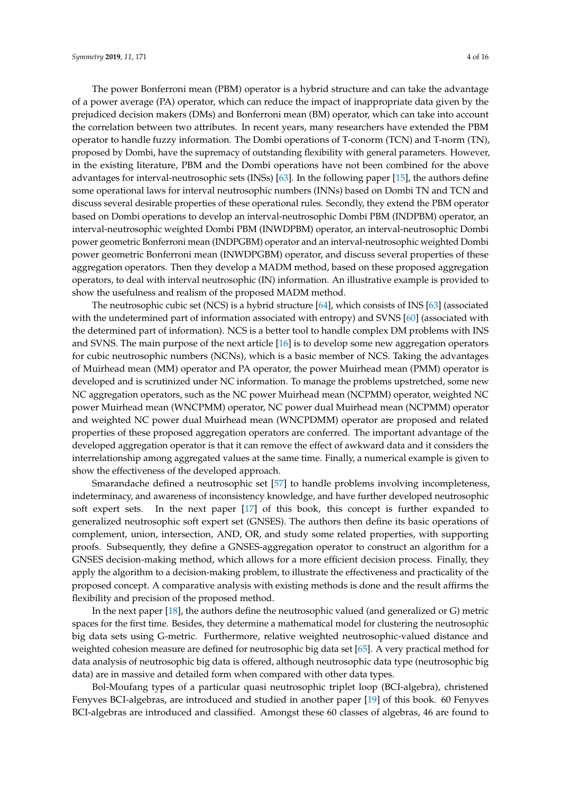The power Bonferroni mean (PBM) operator is a hybrid structure and can take the advantage of a power average (PA) operator, which can reduce the impact of inappropriate data given by the prejudiced decision makers (DMs) and Bonferroni mean (BM) operator, which can take into account the correlation between two attributes. In recent years, many researchers have extended the PBM operator to handle fuzzy information. The Dombi operations of T-conorm (TCN) and T-norm (TN), proposed by Dombi, have the supremacy of outstanding flexibility with general parameters. However, in the existing literature, PBM and the Dombi operations have not been combined for the above advantages for interval-neutrosophic sets (INSs) [\[63\]](#page-15-7). In the following paper [\[15\]](#page-13-9), the authors define some operational laws for interval neutrosophic numbers (INNs) based on Dombi TN and TCN and discuss several desirable properties of these operational rules. Secondly, they extend the PBM operator based on Dombi operations to develop an interval-neutrosophic Dombi PBM (INDPBM) operator, an interval-neutrosophic weighted Dombi PBM (INWDPBM) operator, an interval-neutrosophic Dombi power geometric Bonferroni mean (INDPGBM) operator and an interval-neutrosophic weighted Dombi power geometric Bonferroni mean (INWDPGBM) operator, and discuss several properties of these aggregation operators. Then they develop a MADM method, based on these proposed aggregation operators, to deal with interval neutrosophic (IN) information. An illustrative example is provided to show the usefulness and realism of the proposed MADM method.

The neutrosophic cubic set (NCS) is a hybrid structure [\[64\]](#page-15-8), which consists of INS [\[63\]](#page-15-7) (associated with the undetermined part of information associated with entropy) and SVNS [\[60\]](#page-15-3) (associated with the determined part of information). NCS is a better tool to handle complex DM problems with INS and SVNS. The main purpose of the next article [\[16\]](#page-13-10) is to develop some new aggregation operators for cubic neutrosophic numbers (NCNs), which is a basic member of NCS. Taking the advantages of Muirhead mean (MM) operator and PA operator, the power Muirhead mean (PMM) operator is developed and is scrutinized under NC information. To manage the problems upstretched, some new NC aggregation operators, such as the NC power Muirhead mean (NCPMM) operator, weighted NC power Muirhead mean (WNCPMM) operator, NC power dual Muirhead mean (NCPMM) operator and weighted NC power dual Muirhead mean (WNCPDMM) operator are proposed and related properties of these proposed aggregation operators are conferred. The important advantage of the developed aggregation operator is that it can remove the effect of awkward data and it considers the interrelationship among aggregated values at the same time. Finally, a numerical example is given to show the effectiveness of the developed approach.

Smarandache defined a neutrosophic set [\[57\]](#page-15-1) to handle problems involving incompleteness, indeterminacy, and awareness of inconsistency knowledge, and have further developed neutrosophic soft expert sets. In the next paper [\[17\]](#page-13-11) of this book, this concept is further expanded to generalized neutrosophic soft expert set (GNSES). The authors then define its basic operations of complement, union, intersection, AND, OR, and study some related properties, with supporting proofs. Subsequently, they define a GNSES-aggregation operator to construct an algorithm for a GNSES decision-making method, which allows for a more efficient decision process. Finally, they apply the algorithm to a decision-making problem, to illustrate the effectiveness and practicality of the proposed concept. A comparative analysis with existing methods is done and the result affirms the flexibility and precision of the proposed method.

In the next paper [\[18\]](#page-13-12), the authors define the neutrosophic valued (and generalized or G) metric spaces for the first time. Besides, they determine a mathematical model for clustering the neutrosophic big data sets using G-metric. Furthermore, relative weighted neutrosophic-valued distance and weighted cohesion measure are defined for neutrosophic big data set [\[65\]](#page-15-9). A very practical method for data analysis of neutrosophic big data is offered, although neutrosophic data type (neutrosophic big data) are in massive and detailed form when compared with other data types.

Bol-Moufang types of a particular quasi neutrosophic triplet loop (BCI-algebra), christened Fenyves BCI-algebras, are introduced and studied in another paper [\[19\]](#page-13-13) of this book. 60 Fenyves BCI-algebras are introduced and classified. Amongst these 60 classes of algebras, 46 are found to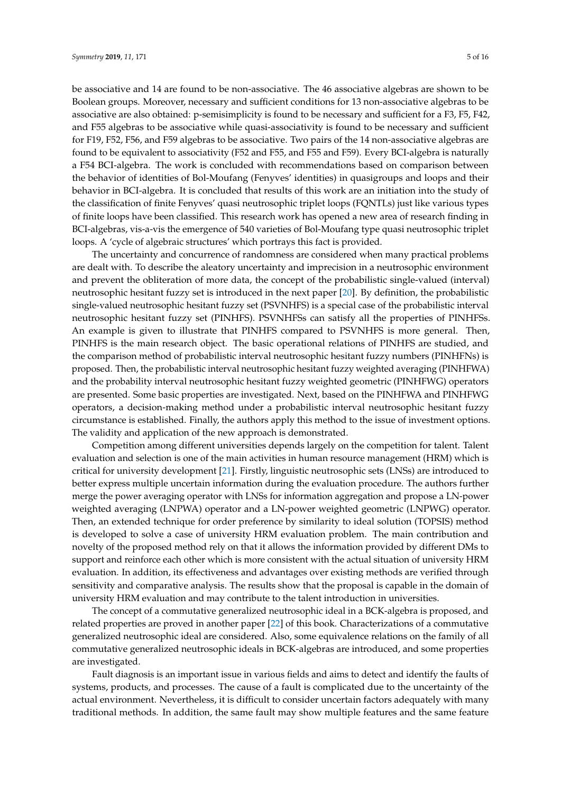be associative and 14 are found to be non-associative. The 46 associative algebras are shown to be Boolean groups. Moreover, necessary and sufficient conditions for 13 non-associative algebras to be associative are also obtained: p-semisimplicity is found to be necessary and sufficient for a F3, F5, F42, and F55 algebras to be associative while quasi-associativity is found to be necessary and sufficient for F19, F52, F56, and F59 algebras to be associative. Two pairs of the 14 non-associative algebras are found to be equivalent to associativity (F52 and F55, and F55 and F59). Every BCI-algebra is naturally a F54 BCI-algebra. The work is concluded with recommendations based on comparison between the behavior of identities of Bol-Moufang (Fenyves' identities) in quasigroups and loops and their behavior in BCI-algebra. It is concluded that results of this work are an initiation into the study of the classification of finite Fenyves' quasi neutrosophic triplet loops (FQNTLs) just like various types of finite loops have been classified. This research work has opened a new area of research finding in BCI-algebras, vis-a-vis the emergence of 540 varieties of Bol-Moufang type quasi neutrosophic triplet loops. A 'cycle of algebraic structures' which portrays this fact is provided.

The uncertainty and concurrence of randomness are considered when many practical problems are dealt with. To describe the aleatory uncertainty and imprecision in a neutrosophic environment and prevent the obliteration of more data, the concept of the probabilistic single-valued (interval) neutrosophic hesitant fuzzy set is introduced in the next paper [\[20\]](#page-13-14). By definition, the probabilistic single-valued neutrosophic hesitant fuzzy set (PSVNHFS) is a special case of the probabilistic interval neutrosophic hesitant fuzzy set (PINHFS). PSVNHFSs can satisfy all the properties of PINHFSs. An example is given to illustrate that PINHFS compared to PSVNHFS is more general. Then, PINHFS is the main research object. The basic operational relations of PINHFS are studied, and the comparison method of probabilistic interval neutrosophic hesitant fuzzy numbers (PINHFNs) is proposed. Then, the probabilistic interval neutrosophic hesitant fuzzy weighted averaging (PINHFWA) and the probability interval neutrosophic hesitant fuzzy weighted geometric (PINHFWG) operators are presented. Some basic properties are investigated. Next, based on the PINHFWA and PINHFWG operators, a decision-making method under a probabilistic interval neutrosophic hesitant fuzzy circumstance is established. Finally, the authors apply this method to the issue of investment options. The validity and application of the new approach is demonstrated.

Competition among different universities depends largely on the competition for talent. Talent evaluation and selection is one of the main activities in human resource management (HRM) which is critical for university development [\[21\]](#page-13-15). Firstly, linguistic neutrosophic sets (LNSs) are introduced to better express multiple uncertain information during the evaluation procedure. The authors further merge the power averaging operator with LNSs for information aggregation and propose a LN-power weighted averaging (LNPWA) operator and a LN-power weighted geometric (LNPWG) operator. Then, an extended technique for order preference by similarity to ideal solution (TOPSIS) method is developed to solve a case of university HRM evaluation problem. The main contribution and novelty of the proposed method rely on that it allows the information provided by different DMs to support and reinforce each other which is more consistent with the actual situation of university HRM evaluation. In addition, its effectiveness and advantages over existing methods are verified through sensitivity and comparative analysis. The results show that the proposal is capable in the domain of university HRM evaluation and may contribute to the talent introduction in universities.

The concept of a commutative generalized neutrosophic ideal in a BCK-algebra is proposed, and related properties are proved in another paper [\[22\]](#page-13-16) of this book. Characterizations of a commutative generalized neutrosophic ideal are considered. Also, some equivalence relations on the family of all commutative generalized neutrosophic ideals in BCK-algebras are introduced, and some properties are investigated.

Fault diagnosis is an important issue in various fields and aims to detect and identify the faults of systems, products, and processes. The cause of a fault is complicated due to the uncertainty of the actual environment. Nevertheless, it is difficult to consider uncertain factors adequately with many traditional methods. In addition, the same fault may show multiple features and the same feature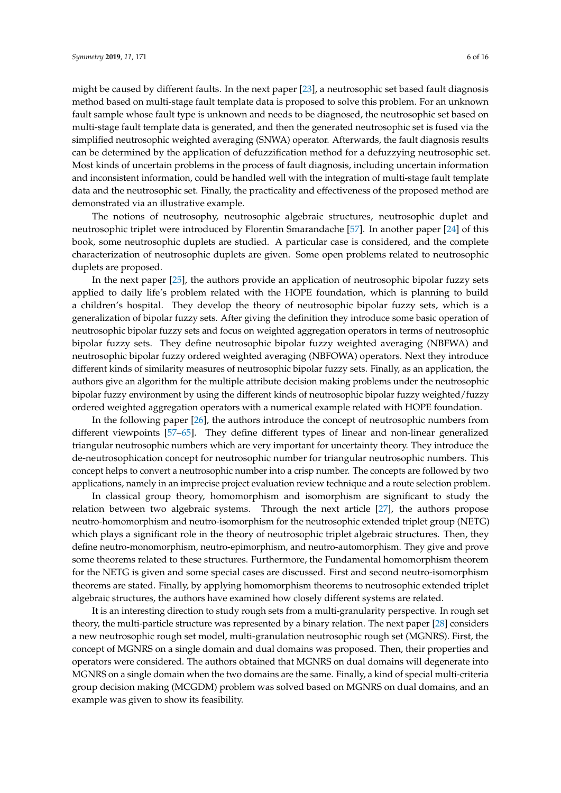might be caused by different faults. In the next paper [\[23\]](#page-13-17), a neutrosophic set based fault diagnosis method based on multi-stage fault template data is proposed to solve this problem. For an unknown fault sample whose fault type is unknown and needs to be diagnosed, the neutrosophic set based on multi-stage fault template data is generated, and then the generated neutrosophic set is fused via the simplified neutrosophic weighted averaging (SNWA) operator. Afterwards, the fault diagnosis results can be determined by the application of defuzzification method for a defuzzying neutrosophic set. Most kinds of uncertain problems in the process of fault diagnosis, including uncertain information and inconsistent information, could be handled well with the integration of multi-stage fault template data and the neutrosophic set. Finally, the practicality and effectiveness of the proposed method are demonstrated via an illustrative example.

The notions of neutrosophy, neutrosophic algebraic structures, neutrosophic duplet and neutrosophic triplet were introduced by Florentin Smarandache [\[57\]](#page-15-1). In another paper [\[24\]](#page-13-18) of this book, some neutrosophic duplets are studied. A particular case is considered, and the complete characterization of neutrosophic duplets are given. Some open problems related to neutrosophic duplets are proposed.

In the next paper [\[25\]](#page-13-19), the authors provide an application of neutrosophic bipolar fuzzy sets applied to daily life's problem related with the HOPE foundation, which is planning to build a children's hospital. They develop the theory of neutrosophic bipolar fuzzy sets, which is a generalization of bipolar fuzzy sets. After giving the definition they introduce some basic operation of neutrosophic bipolar fuzzy sets and focus on weighted aggregation operators in terms of neutrosophic bipolar fuzzy sets. They define neutrosophic bipolar fuzzy weighted averaging (NBFWA) and neutrosophic bipolar fuzzy ordered weighted averaging (NBFOWA) operators. Next they introduce different kinds of similarity measures of neutrosophic bipolar fuzzy sets. Finally, as an application, the authors give an algorithm for the multiple attribute decision making problems under the neutrosophic bipolar fuzzy environment by using the different kinds of neutrosophic bipolar fuzzy weighted/fuzzy ordered weighted aggregation operators with a numerical example related with HOPE foundation.

In the following paper [\[26\]](#page-13-20), the authors introduce the concept of neutrosophic numbers from different viewpoints [\[57–](#page-15-1)[65\]](#page-15-9). They define different types of linear and non-linear generalized triangular neutrosophic numbers which are very important for uncertainty theory. They introduce the de-neutrosophication concept for neutrosophic number for triangular neutrosophic numbers. This concept helps to convert a neutrosophic number into a crisp number. The concepts are followed by two applications, namely in an imprecise project evaluation review technique and a route selection problem.

In classical group theory, homomorphism and isomorphism are significant to study the relation between two algebraic systems. Through the next article [\[27\]](#page-13-21), the authors propose neutro-homomorphism and neutro-isomorphism for the neutrosophic extended triplet group (NETG) which plays a significant role in the theory of neutrosophic triplet algebraic structures. Then, they define neutro-monomorphism, neutro-epimorphism, and neutro-automorphism. They give and prove some theorems related to these structures. Furthermore, the Fundamental homomorphism theorem for the NETG is given and some special cases are discussed. First and second neutro-isomorphism theorems are stated. Finally, by applying homomorphism theorems to neutrosophic extended triplet algebraic structures, the authors have examined how closely different systems are related.

It is an interesting direction to study rough sets from a multi-granularity perspective. In rough set theory, the multi-particle structure was represented by a binary relation. The next paper [\[28\]](#page-13-22) considers a new neutrosophic rough set model, multi-granulation neutrosophic rough set (MGNRS). First, the concept of MGNRS on a single domain and dual domains was proposed. Then, their properties and operators were considered. The authors obtained that MGNRS on dual domains will degenerate into MGNRS on a single domain when the two domains are the same. Finally, a kind of special multi-criteria group decision making (MCGDM) problem was solved based on MGNRS on dual domains, and an example was given to show its feasibility.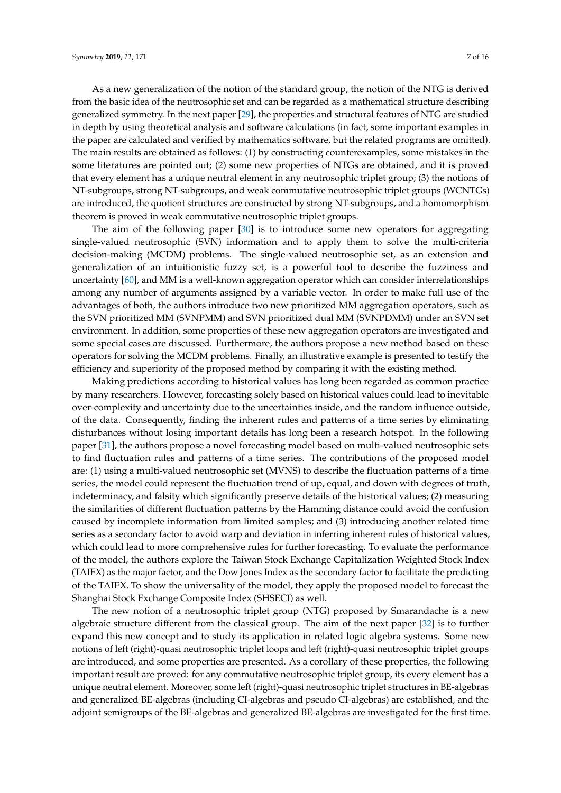As a new generalization of the notion of the standard group, the notion of the NTG is derived from the basic idea of the neutrosophic set and can be regarded as a mathematical structure describing generalized symmetry. In the next paper [\[29\]](#page-13-23), the properties and structural features of NTG are studied in depth by using theoretical analysis and software calculations (in fact, some important examples in the paper are calculated and verified by mathematics software, but the related programs are omitted). The main results are obtained as follows: (1) by constructing counterexamples, some mistakes in the some literatures are pointed out; (2) some new properties of NTGs are obtained, and it is proved that every element has a unique neutral element in any neutrosophic triplet group; (3) the notions of NT-subgroups, strong NT-subgroups, and weak commutative neutrosophic triplet groups (WCNTGs) are introduced, the quotient structures are constructed by strong NT-subgroups, and a homomorphism theorem is proved in weak commutative neutrosophic triplet groups.

The aim of the following paper [\[30\]](#page-14-0) is to introduce some new operators for aggregating single-valued neutrosophic (SVN) information and to apply them to solve the multi-criteria decision-making (MCDM) problems. The single-valued neutrosophic set, as an extension and generalization of an intuitionistic fuzzy set, is a powerful tool to describe the fuzziness and uncertainty [\[60\]](#page-15-3), and MM is a well-known aggregation operator which can consider interrelationships among any number of arguments assigned by a variable vector. In order to make full use of the advantages of both, the authors introduce two new prioritized MM aggregation operators, such as the SVN prioritized MM (SVNPMM) and SVN prioritized dual MM (SVNPDMM) under an SVN set environment. In addition, some properties of these new aggregation operators are investigated and some special cases are discussed. Furthermore, the authors propose a new method based on these operators for solving the MCDM problems. Finally, an illustrative example is presented to testify the efficiency and superiority of the proposed method by comparing it with the existing method.

Making predictions according to historical values has long been regarded as common practice by many researchers. However, forecasting solely based on historical values could lead to inevitable over-complexity and uncertainty due to the uncertainties inside, and the random influence outside, of the data. Consequently, finding the inherent rules and patterns of a time series by eliminating disturbances without losing important details has long been a research hotspot. In the following paper [\[31\]](#page-14-1), the authors propose a novel forecasting model based on multi-valued neutrosophic sets to find fluctuation rules and patterns of a time series. The contributions of the proposed model are: (1) using a multi-valued neutrosophic set (MVNS) to describe the fluctuation patterns of a time series, the model could represent the fluctuation trend of up, equal, and down with degrees of truth, indeterminacy, and falsity which significantly preserve details of the historical values; (2) measuring the similarities of different fluctuation patterns by the Hamming distance could avoid the confusion caused by incomplete information from limited samples; and (3) introducing another related time series as a secondary factor to avoid warp and deviation in inferring inherent rules of historical values, which could lead to more comprehensive rules for further forecasting. To evaluate the performance of the model, the authors explore the Taiwan Stock Exchange Capitalization Weighted Stock Index (TAIEX) as the major factor, and the Dow Jones Index as the secondary factor to facilitate the predicting of the TAIEX. To show the universality of the model, they apply the proposed model to forecast the Shanghai Stock Exchange Composite Index (SHSECI) as well.

The new notion of a neutrosophic triplet group (NTG) proposed by Smarandache is a new algebraic structure different from the classical group. The aim of the next paper [\[32\]](#page-14-2) is to further expand this new concept and to study its application in related logic algebra systems. Some new notions of left (right)-quasi neutrosophic triplet loops and left (right)-quasi neutrosophic triplet groups are introduced, and some properties are presented. As a corollary of these properties, the following important result are proved: for any commutative neutrosophic triplet group, its every element has a unique neutral element. Moreover, some left (right)-quasi neutrosophic triplet structures in BE-algebras and generalized BE-algebras (including CI-algebras and pseudo CI-algebras) are established, and the adjoint semigroups of the BE-algebras and generalized BE-algebras are investigated for the first time.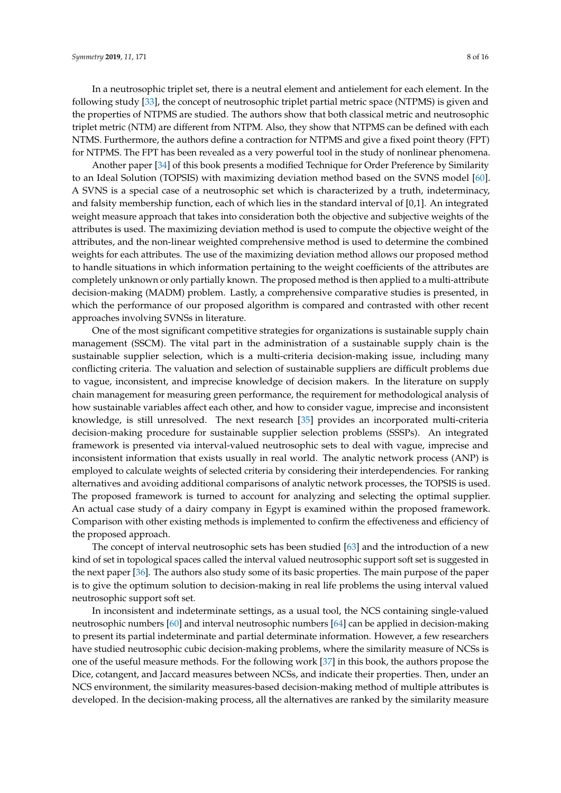In a neutrosophic triplet set, there is a neutral element and antielement for each element. In the following study [\[33\]](#page-14-3), the concept of neutrosophic triplet partial metric space (NTPMS) is given and the properties of NTPMS are studied. The authors show that both classical metric and neutrosophic triplet metric (NTM) are different from NTPM. Also, they show that NTPMS can be defined with each NTMS. Furthermore, the authors define a contraction for NTPMS and give a fixed point theory (FPT) for NTPMS. The FPT has been revealed as a very powerful tool in the study of nonlinear phenomena.

Another paper [\[34\]](#page-14-4) of this book presents a modified Technique for Order Preference by Similarity to an Ideal Solution (TOPSIS) with maximizing deviation method based on the SVNS model [\[60\]](#page-15-3). A SVNS is a special case of a neutrosophic set which is characterized by a truth, indeterminacy, and falsity membership function, each of which lies in the standard interval of [0,1]. An integrated weight measure approach that takes into consideration both the objective and subjective weights of the attributes is used. The maximizing deviation method is used to compute the objective weight of the attributes, and the non-linear weighted comprehensive method is used to determine the combined weights for each attributes. The use of the maximizing deviation method allows our proposed method to handle situations in which information pertaining to the weight coefficients of the attributes are completely unknown or only partially known. The proposed method is then applied to a multi-attribute decision-making (MADM) problem. Lastly, a comprehensive comparative studies is presented, in which the performance of our proposed algorithm is compared and contrasted with other recent approaches involving SVNSs in literature.

One of the most significant competitive strategies for organizations is sustainable supply chain management (SSCM). The vital part in the administration of a sustainable supply chain is the sustainable supplier selection, which is a multi-criteria decision-making issue, including many conflicting criteria. The valuation and selection of sustainable suppliers are difficult problems due to vague, inconsistent, and imprecise knowledge of decision makers. In the literature on supply chain management for measuring green performance, the requirement for methodological analysis of how sustainable variables affect each other, and how to consider vague, imprecise and inconsistent knowledge, is still unresolved. The next research [\[35\]](#page-14-5) provides an incorporated multi-criteria decision-making procedure for sustainable supplier selection problems (SSSPs). An integrated framework is presented via interval-valued neutrosophic sets to deal with vague, imprecise and inconsistent information that exists usually in real world. The analytic network process (ANP) is employed to calculate weights of selected criteria by considering their interdependencies. For ranking alternatives and avoiding additional comparisons of analytic network processes, the TOPSIS is used. The proposed framework is turned to account for analyzing and selecting the optimal supplier. An actual case study of a dairy company in Egypt is examined within the proposed framework. Comparison with other existing methods is implemented to confirm the effectiveness and efficiency of the proposed approach.

The concept of interval neutrosophic sets has been studied [\[63\]](#page-15-7) and the introduction of a new kind of set in topological spaces called the interval valued neutrosophic support soft set is suggested in the next paper [\[36\]](#page-14-6). The authors also study some of its basic properties. The main purpose of the paper is to give the optimum solution to decision-making in real life problems the using interval valued neutrosophic support soft set.

In inconsistent and indeterminate settings, as a usual tool, the NCS containing single-valued neutrosophic numbers [\[60\]](#page-15-3) and interval neutrosophic numbers [\[64\]](#page-15-8) can be applied in decision-making to present its partial indeterminate and partial determinate information. However, a few researchers have studied neutrosophic cubic decision-making problems, where the similarity measure of NCSs is one of the useful measure methods. For the following work [\[37\]](#page-14-7) in this book, the authors propose the Dice, cotangent, and Jaccard measures between NCSs, and indicate their properties. Then, under an NCS environment, the similarity measures-based decision-making method of multiple attributes is developed. In the decision-making process, all the alternatives are ranked by the similarity measure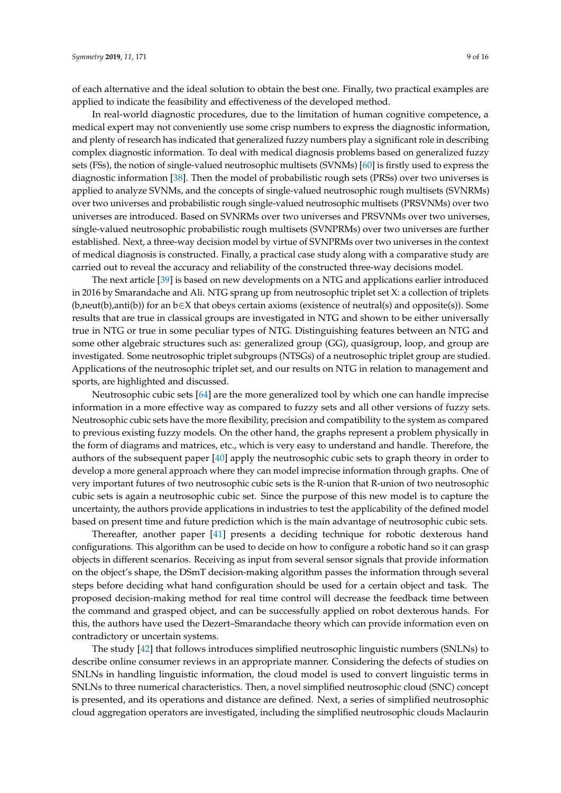of each alternative and the ideal solution to obtain the best one. Finally, two practical examples are applied to indicate the feasibility and effectiveness of the developed method.

In real-world diagnostic procedures, due to the limitation of human cognitive competence, a medical expert may not conveniently use some crisp numbers to express the diagnostic information, and plenty of research has indicated that generalized fuzzy numbers play a significant role in describing complex diagnostic information. To deal with medical diagnosis problems based on generalized fuzzy sets (FSs), the notion of single-valued neutrosophic multisets (SVNMs) [\[60\]](#page-15-3) is firstly used to express the diagnostic information [\[38\]](#page-14-8). Then the model of probabilistic rough sets (PRSs) over two universes is applied to analyze SVNMs, and the concepts of single-valued neutrosophic rough multisets (SVNRMs) over two universes and probabilistic rough single-valued neutrosophic multisets (PRSVNMs) over two universes are introduced. Based on SVNRMs over two universes and PRSVNMs over two universes, single-valued neutrosophic probabilistic rough multisets (SVNPRMs) over two universes are further established. Next, a three-way decision model by virtue of SVNPRMs over two universes in the context of medical diagnosis is constructed. Finally, a practical case study along with a comparative study are carried out to reveal the accuracy and reliability of the constructed three-way decisions model.

The next article [\[39\]](#page-14-9) is based on new developments on a NTG and applications earlier introduced in 2016 by Smarandache and Ali. NTG sprang up from neutrosophic triplet set X: a collection of triplets (b,neut(b),anti(b)) for an b∈X that obeys certain axioms (existence of neutral(s) and opposite(s)). Some results that are true in classical groups are investigated in NTG and shown to be either universally true in NTG or true in some peculiar types of NTG. Distinguishing features between an NTG and some other algebraic structures such as: generalized group (GG), quasigroup, loop, and group are investigated. Some neutrosophic triplet subgroups (NTSGs) of a neutrosophic triplet group are studied. Applications of the neutrosophic triplet set, and our results on NTG in relation to management and sports, are highlighted and discussed.

Neutrosophic cubic sets [\[64\]](#page-15-8) are the more generalized tool by which one can handle imprecise information in a more effective way as compared to fuzzy sets and all other versions of fuzzy sets. Neutrosophic cubic sets have the more flexibility, precision and compatibility to the system as compared to previous existing fuzzy models. On the other hand, the graphs represent a problem physically in the form of diagrams and matrices, etc., which is very easy to understand and handle. Therefore, the authors of the subsequent paper [\[40\]](#page-14-10) apply the neutrosophic cubic sets to graph theory in order to develop a more general approach where they can model imprecise information through graphs. One of very important futures of two neutrosophic cubic sets is the R-union that R-union of two neutrosophic cubic sets is again a neutrosophic cubic set. Since the purpose of this new model is to capture the uncertainty, the authors provide applications in industries to test the applicability of the defined model based on present time and future prediction which is the main advantage of neutrosophic cubic sets.

Thereafter, another paper [\[41\]](#page-14-11) presents a deciding technique for robotic dexterous hand configurations. This algorithm can be used to decide on how to configure a robotic hand so it can grasp objects in different scenarios. Receiving as input from several sensor signals that provide information on the object's shape, the DSmT decision-making algorithm passes the information through several steps before deciding what hand configuration should be used for a certain object and task. The proposed decision-making method for real time control will decrease the feedback time between the command and grasped object, and can be successfully applied on robot dexterous hands. For this, the authors have used the Dezert–Smarandache theory which can provide information even on contradictory or uncertain systems.

The study [\[42\]](#page-14-12) that follows introduces simplified neutrosophic linguistic numbers (SNLNs) to describe online consumer reviews in an appropriate manner. Considering the defects of studies on SNLNs in handling linguistic information, the cloud model is used to convert linguistic terms in SNLNs to three numerical characteristics. Then, a novel simplified neutrosophic cloud (SNC) concept is presented, and its operations and distance are defined. Next, a series of simplified neutrosophic cloud aggregation operators are investigated, including the simplified neutrosophic clouds Maclaurin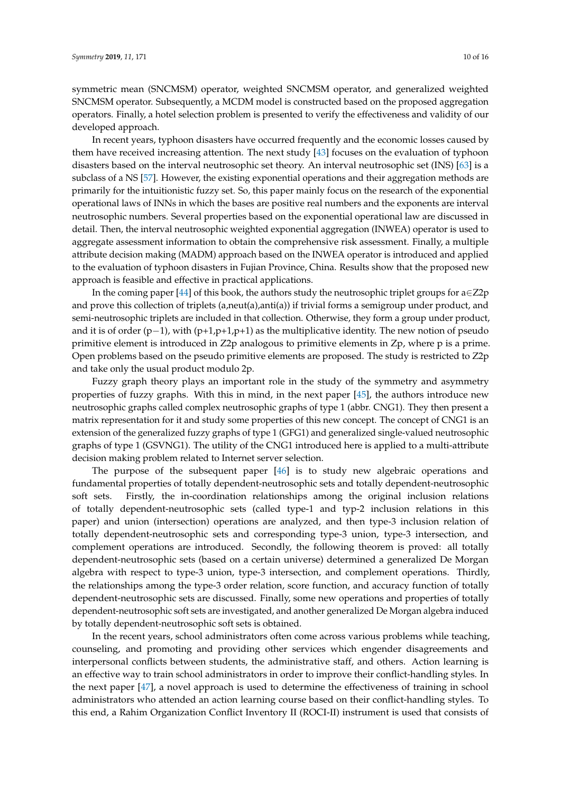symmetric mean (SNCMSM) operator, weighted SNCMSM operator, and generalized weighted SNCMSM operator. Subsequently, a MCDM model is constructed based on the proposed aggregation operators. Finally, a hotel selection problem is presented to verify the effectiveness and validity of our developed approach.

In recent years, typhoon disasters have occurred frequently and the economic losses caused by them have received increasing attention. The next study [\[43\]](#page-14-13) focuses on the evaluation of typhoon disasters based on the interval neutrosophic set theory. An interval neutrosophic set (INS) [\[63\]](#page-15-7) is a subclass of a NS [\[57\]](#page-15-1). However, the existing exponential operations and their aggregation methods are primarily for the intuitionistic fuzzy set. So, this paper mainly focus on the research of the exponential operational laws of INNs in which the bases are positive real numbers and the exponents are interval neutrosophic numbers. Several properties based on the exponential operational law are discussed in detail. Then, the interval neutrosophic weighted exponential aggregation (INWEA) operator is used to aggregate assessment information to obtain the comprehensive risk assessment. Finally, a multiple attribute decision making (MADM) approach based on the INWEA operator is introduced and applied to the evaluation of typhoon disasters in Fujian Province, China. Results show that the proposed new approach is feasible and effective in practical applications.

In the coming paper [\[44\]](#page-14-14) of this book, the authors study the neutrosophic triplet groups for  $a \in Z2p$ and prove this collection of triplets (a,neut(a),anti(a)) if trivial forms a semigroup under product, and semi-neutrosophic triplets are included in that collection. Otherwise, they form a group under product, and it is of order (p−1), with (p+1,p+1,p+1) as the multiplicative identity. The new notion of pseudo primitive element is introduced in Z2p analogous to primitive elements in Zp, where p is a prime. Open problems based on the pseudo primitive elements are proposed. The study is restricted to Z2p and take only the usual product modulo 2p.

Fuzzy graph theory plays an important role in the study of the symmetry and asymmetry properties of fuzzy graphs. With this in mind, in the next paper [\[45\]](#page-14-15), the authors introduce new neutrosophic graphs called complex neutrosophic graphs of type 1 (abbr. CNG1). They then present a matrix representation for it and study some properties of this new concept. The concept of CNG1 is an extension of the generalized fuzzy graphs of type 1 (GFG1) and generalized single-valued neutrosophic graphs of type 1 (GSVNG1). The utility of the CNG1 introduced here is applied to a multi-attribute decision making problem related to Internet server selection.

The purpose of the subsequent paper [\[46\]](#page-14-16) is to study new algebraic operations and fundamental properties of totally dependent-neutrosophic sets and totally dependent-neutrosophic soft sets. Firstly, the in-coordination relationships among the original inclusion relations of totally dependent-neutrosophic sets (called type-1 and typ-2 inclusion relations in this paper) and union (intersection) operations are analyzed, and then type-3 inclusion relation of totally dependent-neutrosophic sets and corresponding type-3 union, type-3 intersection, and complement operations are introduced. Secondly, the following theorem is proved: all totally dependent-neutrosophic sets (based on a certain universe) determined a generalized De Morgan algebra with respect to type-3 union, type-3 intersection, and complement operations. Thirdly, the relationships among the type-3 order relation, score function, and accuracy function of totally dependent-neutrosophic sets are discussed. Finally, some new operations and properties of totally dependent-neutrosophic soft sets are investigated, and another generalized De Morgan algebra induced by totally dependent-neutrosophic soft sets is obtained.

In the recent years, school administrators often come across various problems while teaching, counseling, and promoting and providing other services which engender disagreements and interpersonal conflicts between students, the administrative staff, and others. Action learning is an effective way to train school administrators in order to improve their conflict-handling styles. In the next paper [\[47\]](#page-14-17), a novel approach is used to determine the effectiveness of training in school administrators who attended an action learning course based on their conflict-handling styles. To this end, a Rahim Organization Conflict Inventory II (ROCI-II) instrument is used that consists of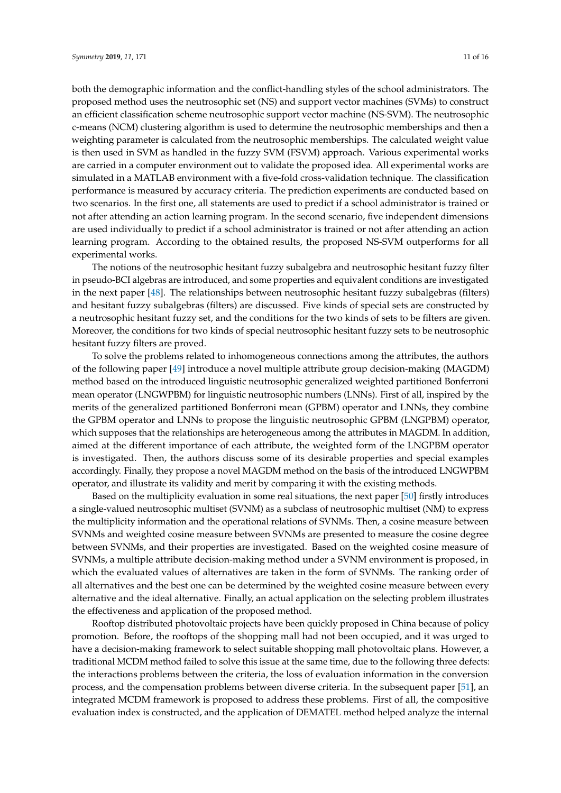both the demographic information and the conflict-handling styles of the school administrators. The proposed method uses the neutrosophic set (NS) and support vector machines (SVMs) to construct an efficient classification scheme neutrosophic support vector machine (NS-SVM). The neutrosophic c-means (NCM) clustering algorithm is used to determine the neutrosophic memberships and then a weighting parameter is calculated from the neutrosophic memberships. The calculated weight value is then used in SVM as handled in the fuzzy SVM (FSVM) approach. Various experimental works are carried in a computer environment out to validate the proposed idea. All experimental works are simulated in a MATLAB environment with a five-fold cross-validation technique. The classification performance is measured by accuracy criteria. The prediction experiments are conducted based on two scenarios. In the first one, all statements are used to predict if a school administrator is trained or not after attending an action learning program. In the second scenario, five independent dimensions are used individually to predict if a school administrator is trained or not after attending an action learning program. According to the obtained results, the proposed NS-SVM outperforms for all experimental works.

The notions of the neutrosophic hesitant fuzzy subalgebra and neutrosophic hesitant fuzzy filter in pseudo-BCI algebras are introduced, and some properties and equivalent conditions are investigated in the next paper [\[48\]](#page-14-18). The relationships between neutrosophic hesitant fuzzy subalgebras (filters) and hesitant fuzzy subalgebras (filters) are discussed. Five kinds of special sets are constructed by a neutrosophic hesitant fuzzy set, and the conditions for the two kinds of sets to be filters are given. Moreover, the conditions for two kinds of special neutrosophic hesitant fuzzy sets to be neutrosophic hesitant fuzzy filters are proved.

To solve the problems related to inhomogeneous connections among the attributes, the authors of the following paper [\[49\]](#page-14-19) introduce a novel multiple attribute group decision-making (MAGDM) method based on the introduced linguistic neutrosophic generalized weighted partitioned Bonferroni mean operator (LNGWPBM) for linguistic neutrosophic numbers (LNNs). First of all, inspired by the merits of the generalized partitioned Bonferroni mean (GPBM) operator and LNNs, they combine the GPBM operator and LNNs to propose the linguistic neutrosophic GPBM (LNGPBM) operator, which supposes that the relationships are heterogeneous among the attributes in MAGDM. In addition, aimed at the different importance of each attribute, the weighted form of the LNGPBM operator is investigated. Then, the authors discuss some of its desirable properties and special examples accordingly. Finally, they propose a novel MAGDM method on the basis of the introduced LNGWPBM operator, and illustrate its validity and merit by comparing it with the existing methods.

Based on the multiplicity evaluation in some real situations, the next paper [\[50\]](#page-14-20) firstly introduces a single-valued neutrosophic multiset (SVNM) as a subclass of neutrosophic multiset (NM) to express the multiplicity information and the operational relations of SVNMs. Then, a cosine measure between SVNMs and weighted cosine measure between SVNMs are presented to measure the cosine degree between SVNMs, and their properties are investigated. Based on the weighted cosine measure of SVNMs, a multiple attribute decision-making method under a SVNM environment is proposed, in which the evaluated values of alternatives are taken in the form of SVNMs. The ranking order of all alternatives and the best one can be determined by the weighted cosine measure between every alternative and the ideal alternative. Finally, an actual application on the selecting problem illustrates the effectiveness and application of the proposed method.

Rooftop distributed photovoltaic projects have been quickly proposed in China because of policy promotion. Before, the rooftops of the shopping mall had not been occupied, and it was urged to have a decision-making framework to select suitable shopping mall photovoltaic plans. However, a traditional MCDM method failed to solve this issue at the same time, due to the following three defects: the interactions problems between the criteria, the loss of evaluation information in the conversion process, and the compensation problems between diverse criteria. In the subsequent paper [\[51\]](#page-14-21), an integrated MCDM framework is proposed to address these problems. First of all, the compositive evaluation index is constructed, and the application of DEMATEL method helped analyze the internal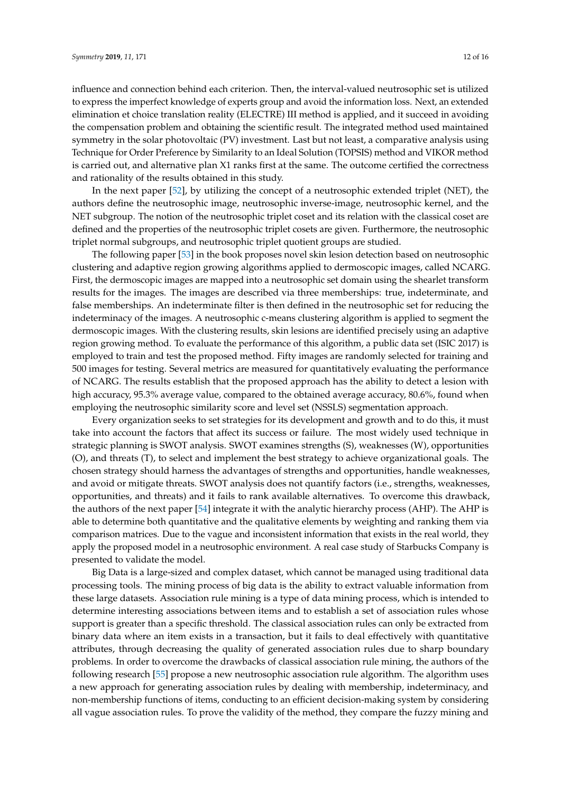influence and connection behind each criterion. Then, the interval-valued neutrosophic set is utilized to express the imperfect knowledge of experts group and avoid the information loss. Next, an extended elimination et choice translation reality (ELECTRE) III method is applied, and it succeed in avoiding the compensation problem and obtaining the scientific result. The integrated method used maintained symmetry in the solar photovoltaic (PV) investment. Last but not least, a comparative analysis using Technique for Order Preference by Similarity to an Ideal Solution (TOPSIS) method and VIKOR method is carried out, and alternative plan X1 ranks first at the same. The outcome certified the correctness and rationality of the results obtained in this study.

In the next paper [\[52\]](#page-14-22), by utilizing the concept of a neutrosophic extended triplet (NET), the authors define the neutrosophic image, neutrosophic inverse-image, neutrosophic kernel, and the NET subgroup. The notion of the neutrosophic triplet coset and its relation with the classical coset are defined and the properties of the neutrosophic triplet cosets are given. Furthermore, the neutrosophic triplet normal subgroups, and neutrosophic triplet quotient groups are studied.

The following paper [\[53\]](#page-14-23) in the book proposes novel skin lesion detection based on neutrosophic clustering and adaptive region growing algorithms applied to dermoscopic images, called NCARG. First, the dermoscopic images are mapped into a neutrosophic set domain using the shearlet transform results for the images. The images are described via three memberships: true, indeterminate, and false memberships. An indeterminate filter is then defined in the neutrosophic set for reducing the indeterminacy of the images. A neutrosophic c-means clustering algorithm is applied to segment the dermoscopic images. With the clustering results, skin lesions are identified precisely using an adaptive region growing method. To evaluate the performance of this algorithm, a public data set (ISIC 2017) is employed to train and test the proposed method. Fifty images are randomly selected for training and 500 images for testing. Several metrics are measured for quantitatively evaluating the performance of NCARG. The results establish that the proposed approach has the ability to detect a lesion with high accuracy, 95.3% average value, compared to the obtained average accuracy, 80.6%, found when employing the neutrosophic similarity score and level set (NSSLS) segmentation approach.

Every organization seeks to set strategies for its development and growth and to do this, it must take into account the factors that affect its success or failure. The most widely used technique in strategic planning is SWOT analysis. SWOT examines strengths (S), weaknesses (W), opportunities (O), and threats (T), to select and implement the best strategy to achieve organizational goals. The chosen strategy should harness the advantages of strengths and opportunities, handle weaknesses, and avoid or mitigate threats. SWOT analysis does not quantify factors (i.e., strengths, weaknesses, opportunities, and threats) and it fails to rank available alternatives. To overcome this drawback, the authors of the next paper [\[54\]](#page-14-24) integrate it with the analytic hierarchy process (AHP). The AHP is able to determine both quantitative and the qualitative elements by weighting and ranking them via comparison matrices. Due to the vague and inconsistent information that exists in the real world, they apply the proposed model in a neutrosophic environment. A real case study of Starbucks Company is presented to validate the model.

Big Data is a large-sized and complex dataset, which cannot be managed using traditional data processing tools. The mining process of big data is the ability to extract valuable information from these large datasets. Association rule mining is a type of data mining process, which is intended to determine interesting associations between items and to establish a set of association rules whose support is greater than a specific threshold. The classical association rules can only be extracted from binary data where an item exists in a transaction, but it fails to deal effectively with quantitative attributes, through decreasing the quality of generated association rules due to sharp boundary problems. In order to overcome the drawbacks of classical association rule mining, the authors of the following research [\[55\]](#page-15-10) propose a new neutrosophic association rule algorithm. The algorithm uses a new approach for generating association rules by dealing with membership, indeterminacy, and non-membership functions of items, conducting to an efficient decision-making system by considering all vague association rules. To prove the validity of the method, they compare the fuzzy mining and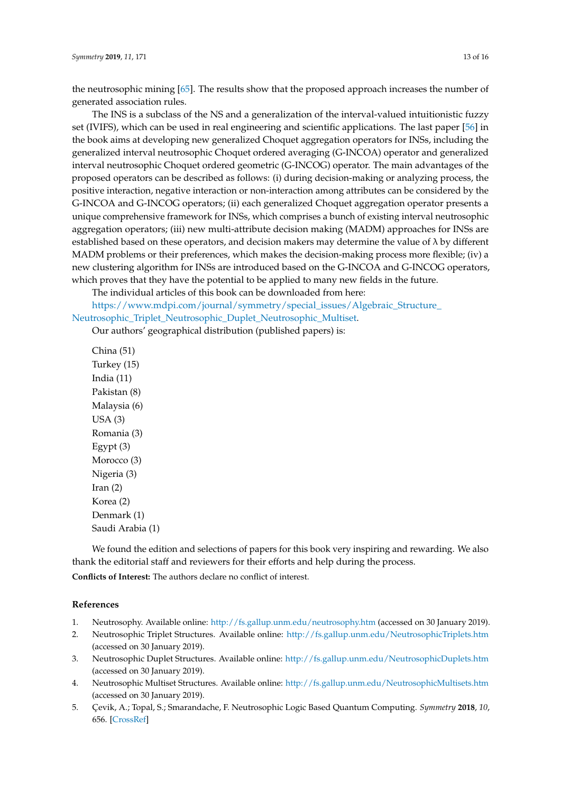the neutrosophic mining [\[65\]](#page-15-9). The results show that the proposed approach increases the number of generated association rules.

The INS is a subclass of the NS and a generalization of the interval-valued intuitionistic fuzzy set (IVIFS), which can be used in real engineering and scientific applications. The last paper [\[56\]](#page-15-0) in the book aims at developing new generalized Choquet aggregation operators for INSs, including the generalized interval neutrosophic Choquet ordered averaging (G-INCOA) operator and generalized interval neutrosophic Choquet ordered geometric (G-INCOG) operator. The main advantages of the proposed operators can be described as follows: (i) during decision-making or analyzing process, the positive interaction, negative interaction or non-interaction among attributes can be considered by the G-INCOA and G-INCOG operators; (ii) each generalized Choquet aggregation operator presents a unique comprehensive framework for INSs, which comprises a bunch of existing interval neutrosophic aggregation operators; (iii) new multi-attribute decision making (MADM) approaches for INSs are established based on these operators, and decision makers may determine the value of  $\lambda$  by different MADM problems or their preferences, which makes the decision-making process more flexible; (iv) a new clustering algorithm for INSs are introduced based on the G-INCOA and G-INCOG operators, which proves that they have the potential to be applied to many new fields in the future.

The individual articles of this book can be downloaded from here:

[https://www.mdpi.com/journal/symmetry/special\\_issues/Algebraic\\_Structure\\_](https://www.mdpi.com/journal/symmetry/special_issues/Algebraic_Structure_Neutrosophic_Triplet_Neutrosophic_Duplet_Neutrosophic_Multiset) [Neutrosophic\\_Triplet\\_Neutrosophic\\_Duplet\\_Neutrosophic\\_Multiset.](https://www.mdpi.com/journal/symmetry/special_issues/Algebraic_Structure_Neutrosophic_Triplet_Neutrosophic_Duplet_Neutrosophic_Multiset)

Our authors' geographical distribution (published papers) is:

China (51) Turkey (15) India (11) Pakistan (8) Malaysia (6) USA (3) Romania (3) Egypt (3) Morocco (3) Nigeria (3)  $Iran (2)$ Korea (2) Denmark (1) Saudi Arabia (1)

We found the edition and selections of papers for this book very inspiring and rewarding. We also thank the editorial staff and reviewers for their efforts and help during the process.

**Conflicts of Interest:** The authors declare no conflict of interest.

## **References**

- <span id="page-12-0"></span>1. Neutrosophy. Available online: <http://fs.gallup.unm.edu/neutrosophy.htm> (accessed on 30 January 2019).
- <span id="page-12-1"></span>2. Neutrosophic Triplet Structures. Available online: <http://fs.gallup.unm.edu/NeutrosophicTriplets.htm> (accessed on 30 January 2019).
- 3. Neutrosophic Duplet Structures. Available online: <http://fs.gallup.unm.edu/NeutrosophicDuplets.htm> (accessed on 30 January 2019).
- <span id="page-12-2"></span>4. Neutrosophic Multiset Structures. Available online: <http://fs.gallup.unm.edu/NeutrosophicMultisets.htm> (accessed on 30 January 2019).
- <span id="page-12-3"></span>5. Çevik, A.; Topal, S.; Smarandache, F. Neutrosophic Logic Based Quantum Computing. *Symmetry* **2018**, *10*, 656. [\[CrossRef\]](http://dx.doi.org/10.3390/sym10110656)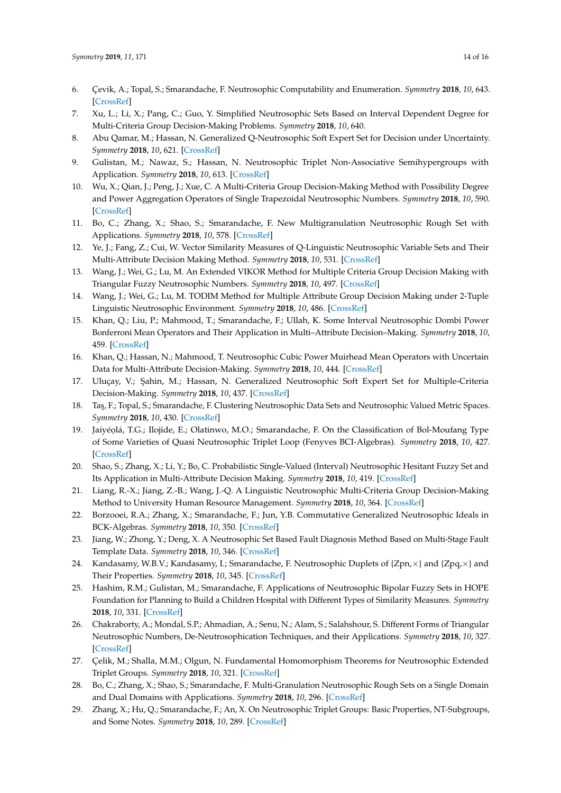- <span id="page-13-0"></span>6. Çevik, A.; Topal, S.; Smarandache, F. Neutrosophic Computability and Enumeration. *Symmetry* **2018**, *10*, 643. [\[CrossRef\]](http://dx.doi.org/10.3390/sym10110643)
- <span id="page-13-1"></span>7. Xu, L.; Li, X.; Pang, C.; Guo, Y. Simplified Neutrosophic Sets Based on Interval Dependent Degree for Multi-Criteria Group Decision-Making Problems. *Symmetry* **2018**, *10*, 640.
- <span id="page-13-2"></span>8. Abu Qamar, M.; Hassan, N. Generalized Q-Neutrosophic Soft Expert Set for Decision under Uncertainty. *Symmetry* **2018**, *10*, 621. [\[CrossRef\]](http://dx.doi.org/10.3390/sym10110621)
- <span id="page-13-3"></span>9. Gulistan, M.; Nawaz, S.; Hassan, N. Neutrosophic Triplet Non-Associative Semihypergroups with Application. *Symmetry* **2018**, *10*, 613. [\[CrossRef\]](http://dx.doi.org/10.3390/sym10110613)
- <span id="page-13-4"></span>10. Wu, X.; Qian, J.; Peng, J.; Xue, C. A Multi-Criteria Group Decision-Making Method with Possibility Degree and Power Aggregation Operators of Single Trapezoidal Neutrosophic Numbers. *Symmetry* **2018**, *10*, 590. [\[CrossRef\]](http://dx.doi.org/10.3390/sym10110590)
- <span id="page-13-5"></span>11. Bo, C.; Zhang, X.; Shao, S.; Smarandache, F. New Multigranulation Neutrosophic Rough Set with Applications. *Symmetry* **2018**, *10*, 578. [\[CrossRef\]](http://dx.doi.org/10.3390/sym10110578)
- <span id="page-13-6"></span>12. Ye, J.; Fang, Z.; Cui, W. Vector Similarity Measures of Q-Linguistic Neutrosophic Variable Sets and Their Multi-Attribute Decision Making Method. *Symmetry* **2018**, *10*, 531. [\[CrossRef\]](http://dx.doi.org/10.3390/sym10100531)
- <span id="page-13-7"></span>13. Wang, J.; Wei, G.; Lu, M. An Extended VIKOR Method for Multiple Criteria Group Decision Making with Triangular Fuzzy Neutrosophic Numbers. *Symmetry* **2018**, *10*, 497. [\[CrossRef\]](http://dx.doi.org/10.3390/sym10100497)
- <span id="page-13-8"></span>14. Wang, J.; Wei, G.; Lu, M. TODIM Method for Multiple Attribute Group Decision Making under 2-Tuple Linguistic Neutrosophic Environment. *Symmetry* **2018**, *10*, 486. [\[CrossRef\]](http://dx.doi.org/10.3390/sym10100486)
- <span id="page-13-9"></span>15. Khan, Q.; Liu, P.; Mahmood, T.; Smarandache, F.; Ullah, K. Some Interval Neutrosophic Dombi Power Bonferroni Mean Operators and Their Application in Multi–Attribute Decision–Making. *Symmetry* **2018**, *10*, 459. [\[CrossRef\]](http://dx.doi.org/10.3390/sym10100459)
- <span id="page-13-10"></span>16. Khan, Q.; Hassan, N.; Mahmood, T. Neutrosophic Cubic Power Muirhead Mean Operators with Uncertain Data for Multi-Attribute Decision-Making. *Symmetry* **2018**, *10*, 444. [\[CrossRef\]](http://dx.doi.org/10.3390/sym10100444)
- <span id="page-13-11"></span>17. Uluçay, V.; Şahin, M.; Hassan, N. Generalized Neutrosophic Soft Expert Set for Multiple-Criteria Decision-Making. *Symmetry* **2018**, *10*, 437. [\[CrossRef\]](http://dx.doi.org/10.3390/sym10100437)
- <span id="page-13-12"></span>18. Ta¸s, F.; Topal, S.; Smarandache, F. Clustering Neutrosophic Data Sets and Neutrosophic Valued Metric Spaces. *Symmetry* **2018**, *10*, 430. [\[CrossRef\]](http://dx.doi.org/10.3390/sym10100430)
- <span id="page-13-13"></span>19. Jaíyéọlá, T.G.; Ilojide, E.; Olatinwo, M.O.; Smarandache, F. On the Classification of Bol-Moufang Type of Some Varieties of Quasi Neutrosophic Triplet Loop (Fenyves BCI-Algebras). *Symmetry* **2018**, *10*, 427. [\[CrossRef\]](http://dx.doi.org/10.3390/sym10100427)
- <span id="page-13-14"></span>20. Shao, S.; Zhang, X.; Li, Y.; Bo, C. Probabilistic Single-Valued (Interval) Neutrosophic Hesitant Fuzzy Set and Its Application in Multi-Attribute Decision Making. *Symmetry* **2018**, *10*, 419. [\[CrossRef\]](http://dx.doi.org/10.3390/sym10090419)
- <span id="page-13-15"></span>21. Liang, R.-X.; Jiang, Z.-B.; Wang, J.-Q. A Linguistic Neutrosophic Multi-Criteria Group Decision-Making Method to University Human Resource Management. *Symmetry* **2018**, *10*, 364. [\[CrossRef\]](http://dx.doi.org/10.3390/sym10090364)
- <span id="page-13-16"></span>22. Borzooei, R.A.; Zhang, X.; Smarandache, F.; Jun, Y.B. Commutative Generalized Neutrosophic Ideals in BCK-Algebras. *Symmetry* **2018**, *10*, 350. [\[CrossRef\]](http://dx.doi.org/10.3390/sym10080350)
- <span id="page-13-17"></span>23. Jiang, W.; Zhong, Y.; Deng, X. A Neutrosophic Set Based Fault Diagnosis Method Based on Multi-Stage Fault Template Data. *Symmetry* **2018**, *10*, 346. [\[CrossRef\]](http://dx.doi.org/10.3390/sym10080346)
- <span id="page-13-18"></span>24. Kandasamy, W.B.V.; Kandasamy, I.; Smarandache, F. Neutrosophic Duplets of  $\{Zpn, \times\}$  and  $\{Zpq, \times\}$  and Their Properties. *Symmetry* **2018**, *10*, 345. [\[CrossRef\]](http://dx.doi.org/10.3390/sym10080345)
- <span id="page-13-19"></span>25. Hashim, R.M.; Gulistan, M.; Smarandache, F. Applications of Neutrosophic Bipolar Fuzzy Sets in HOPE Foundation for Planning to Build a Children Hospital with Different Types of Similarity Measures. *Symmetry* **2018**, *10*, 331. [\[CrossRef\]](http://dx.doi.org/10.3390/sym10080331)
- <span id="page-13-20"></span>26. Chakraborty, A.; Mondal, S.P.; Ahmadian, A.; Senu, N.; Alam, S.; Salahshour, S. Different Forms of Triangular Neutrosophic Numbers, De-Neutrosophication Techniques, and their Applications. *Symmetry* **2018**, *10*, 327. [\[CrossRef\]](http://dx.doi.org/10.3390/sym10080327)
- <span id="page-13-21"></span>27. Çelik, M.; Shalla, M.M.; Olgun, N. Fundamental Homomorphism Theorems for Neutrosophic Extended Triplet Groups. *Symmetry* **2018**, *10*, 321. [\[CrossRef\]](http://dx.doi.org/10.3390/sym10080321)
- <span id="page-13-22"></span>28. Bo, C.; Zhang, X.; Shao, S.; Smarandache, F. Multi-Granulation Neutrosophic Rough Sets on a Single Domain and Dual Domains with Applications. *Symmetry* **2018**, *10*, 296. [\[CrossRef\]](http://dx.doi.org/10.3390/sym10070296)
- <span id="page-13-23"></span>29. Zhang, X.; Hu, Q.; Smarandache, F.; An, X. On Neutrosophic Triplet Groups: Basic Properties, NT-Subgroups, and Some Notes. *Symmetry* **2018**, *10*, 289. [\[CrossRef\]](http://dx.doi.org/10.3390/sym10070289)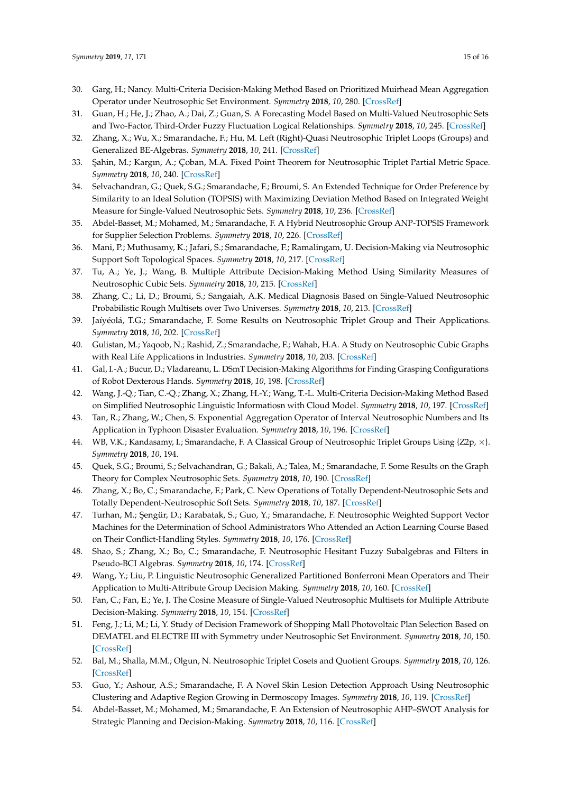- <span id="page-14-0"></span>30. Garg, H.; Nancy. Multi-Criteria Decision-Making Method Based on Prioritized Muirhead Mean Aggregation Operator under Neutrosophic Set Environment. *Symmetry* **2018**, *10*, 280. [\[CrossRef\]](http://dx.doi.org/10.3390/sym10070280)
- <span id="page-14-1"></span>31. Guan, H.; He, J.; Zhao, A.; Dai, Z.; Guan, S. A Forecasting Model Based on Multi-Valued Neutrosophic Sets and Two-Factor, Third-Order Fuzzy Fluctuation Logical Relationships. *Symmetry* **2018**, *10*, 245. [\[CrossRef\]](http://dx.doi.org/10.3390/sym10070245)
- <span id="page-14-2"></span>32. Zhang, X.; Wu, X.; Smarandache, F.; Hu, M. Left (Right)-Quasi Neutrosophic Triplet Loops (Groups) and Generalized BE-Algebras. *Symmetry* **2018**, *10*, 241. [\[CrossRef\]](http://dx.doi.org/10.3390/sym10070241)
- <span id="page-14-3"></span>33. Şahin, M.; Kargın, A.; Çoban, M.A. Fixed Point Theorem for Neutrosophic Triplet Partial Metric Space. *Symmetry* **2018**, *10*, 240. [\[CrossRef\]](http://dx.doi.org/10.3390/sym10070240)
- <span id="page-14-4"></span>34. Selvachandran, G.; Quek, S.G.; Smarandache, F.; Broumi, S. An Extended Technique for Order Preference by Similarity to an Ideal Solution (TOPSIS) with Maximizing Deviation Method Based on Integrated Weight Measure for Single-Valued Neutrosophic Sets. *Symmetry* **2018**, *10*, 236. [\[CrossRef\]](http://dx.doi.org/10.3390/sym10070236)
- <span id="page-14-5"></span>35. Abdel-Basset, M.; Mohamed, M.; Smarandache, F. A Hybrid Neutrosophic Group ANP-TOPSIS Framework for Supplier Selection Problems. *Symmetry* **2018**, *10*, 226. [\[CrossRef\]](http://dx.doi.org/10.3390/sym10060226)
- <span id="page-14-6"></span>36. Mani, P.; Muthusamy, K.; Jafari, S.; Smarandache, F.; Ramalingam, U. Decision-Making via Neutrosophic Support Soft Topological Spaces. *Symmetry* **2018**, *10*, 217. [\[CrossRef\]](http://dx.doi.org/10.3390/sym10060217)
- <span id="page-14-7"></span>37. Tu, A.; Ye, J.; Wang, B. Multiple Attribute Decision-Making Method Using Similarity Measures of Neutrosophic Cubic Sets. *Symmetry* **2018**, *10*, 215. [\[CrossRef\]](http://dx.doi.org/10.3390/sym10060215)
- <span id="page-14-8"></span>38. Zhang, C.; Li, D.; Broumi, S.; Sangaiah, A.K. Medical Diagnosis Based on Single-Valued Neutrosophic Probabilistic Rough Multisets over Two Universes. *Symmetry* **2018**, *10*, 213. [\[CrossRef\]](http://dx.doi.org/10.3390/sym10060213)
- <span id="page-14-9"></span>39. Jaíyéolá, T.G.; Smarandache, F. Some Results on Neutrosophic Triplet Group and Their Applications. *Symmetry* **2018**, *10*, 202. [\[CrossRef\]](http://dx.doi.org/10.3390/sym10060202)
- <span id="page-14-10"></span>40. Gulistan, M.; Yaqoob, N.; Rashid, Z.; Smarandache, F.; Wahab, H.A. A Study on Neutrosophic Cubic Graphs with Real Life Applications in Industries. *Symmetry* **2018**, *10*, 203. [\[CrossRef\]](http://dx.doi.org/10.3390/sym10060203)
- <span id="page-14-11"></span>41. Gal, I.-A.; Bucur, D.; Vladareanu, L. DSmT Decision-Making Algorithms for Finding Grasping Configurations of Robot Dexterous Hands. *Symmetry* **2018**, *10*, 198. [\[CrossRef\]](http://dx.doi.org/10.3390/sym10060198)
- <span id="page-14-12"></span>42. Wang, J.-Q.; Tian, C.-Q.; Zhang, X.; Zhang, H.-Y.; Wang, T.-L. Multi-Criteria Decision-Making Method Based on Simplified Neutrosophic Linguistic Informatiosn with Cloud Model. *Symmetry* **2018**, *10*, 197. [\[CrossRef\]](http://dx.doi.org/10.3390/sym10060197)
- <span id="page-14-13"></span>43. Tan, R.; Zhang, W.; Chen, S. Exponential Aggregation Operator of Interval Neutrosophic Numbers and Its Application in Typhoon Disaster Evaluation. *Symmetry* **2018**, *10*, 196. [\[CrossRef\]](http://dx.doi.org/10.3390/sym10060196)
- <span id="page-14-14"></span>44. WB, V.K.; Kandasamy, I.; Smarandache, F. A Classical Group of Neutrosophic Triplet Groups Using {Z2p, ×}. *Symmetry* **2018**, *10*, 194.
- <span id="page-14-15"></span>45. Quek, S.G.; Broumi, S.; Selvachandran, G.; Bakali, A.; Talea, M.; Smarandache, F. Some Results on the Graph Theory for Complex Neutrosophic Sets. *Symmetry* **2018**, *10*, 190. [\[CrossRef\]](http://dx.doi.org/10.3390/sym10060190)
- <span id="page-14-16"></span>46. Zhang, X.; Bo, C.; Smarandache, F.; Park, C. New Operations of Totally Dependent-Neutrosophic Sets and Totally Dependent-Neutrosophic Soft Sets. *Symmetry* **2018**, *10*, 187. [\[CrossRef\]](http://dx.doi.org/10.3390/sym10060187)
- <span id="page-14-17"></span>47. Turhan, M.; Şengür, D.; Karabatak, S.; Guo, Y.; Smarandache, F. Neutrosophic Weighted Support Vector Machines for the Determination of School Administrators Who Attended an Action Learning Course Based on Their Conflict-Handling Styles. *Symmetry* **2018**, *10*, 176. [\[CrossRef\]](http://dx.doi.org/10.3390/sym10050176)
- <span id="page-14-18"></span>48. Shao, S.; Zhang, X.; Bo, C.; Smarandache, F. Neutrosophic Hesitant Fuzzy Subalgebras and Filters in Pseudo-BCI Algebras. *Symmetry* **2018**, *10*, 174. [\[CrossRef\]](http://dx.doi.org/10.3390/sym10050174)
- <span id="page-14-19"></span>49. Wang, Y.; Liu, P. Linguistic Neutrosophic Generalized Partitioned Bonferroni Mean Operators and Their Application to Multi-Attribute Group Decision Making. *Symmetry* **2018**, *10*, 160. [\[CrossRef\]](http://dx.doi.org/10.3390/sym10050160)
- <span id="page-14-20"></span>50. Fan, C.; Fan, E.; Ye, J. The Cosine Measure of Single-Valued Neutrosophic Multisets for Multiple Attribute Decision-Making. *Symmetry* **2018**, *10*, 154. [\[CrossRef\]](http://dx.doi.org/10.3390/sym10050154)
- <span id="page-14-21"></span>51. Feng, J.; Li, M.; Li, Y. Study of Decision Framework of Shopping Mall Photovoltaic Plan Selection Based on DEMATEL and ELECTRE III with Symmetry under Neutrosophic Set Environment. *Symmetry* **2018**, *10*, 150. [\[CrossRef\]](http://dx.doi.org/10.3390/sym10050150)
- <span id="page-14-22"></span>52. Bal, M.; Shalla, M.M.; Olgun, N. Neutrosophic Triplet Cosets and Quotient Groups. *Symmetry* **2018**, *10*, 126. [\[CrossRef\]](http://dx.doi.org/10.3390/sym10040126)
- <span id="page-14-23"></span>53. Guo, Y.; Ashour, A.S.; Smarandache, F. A Novel Skin Lesion Detection Approach Using Neutrosophic Clustering and Adaptive Region Growing in Dermoscopy Images. *Symmetry* **2018**, *10*, 119. [\[CrossRef\]](http://dx.doi.org/10.3390/sym10040119)
- <span id="page-14-24"></span>54. Abdel-Basset, M.; Mohamed, M.; Smarandache, F. An Extension of Neutrosophic AHP–SWOT Analysis for Strategic Planning and Decision-Making. *Symmetry* **2018**, *10*, 116. [\[CrossRef\]](http://dx.doi.org/10.3390/sym10040116)